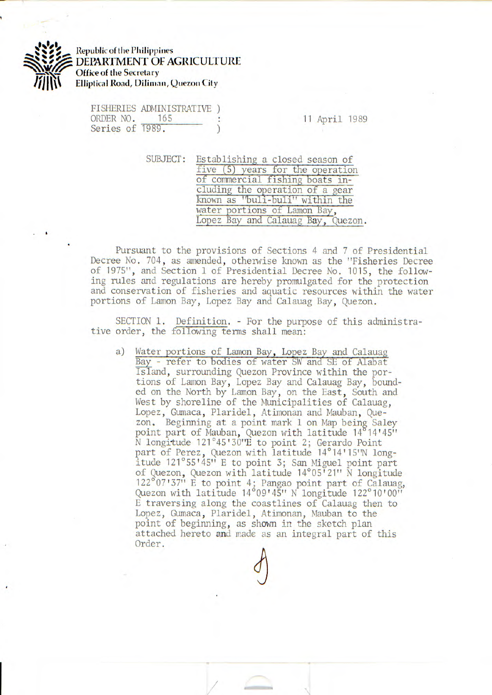

**Republic of the Philippines** DEPARTMENT OF AGRICULTURE **Office of the Secretary**  *Elliptical Road, Diliman, Quezon City* 

FISHERIES ADMINISTRATIVE ) ORDER NO. 165 : 11 April 1989 Series of 1989.

SUBJECT: Establishing a closed season of five (5) years for the operation of commercial fishing boats including the operation of a gear known as "buli-buli" within the water portions of Lamon Bay, Lopez Bay and Calauag Bay, Quezon.

Pursuant to the provisions of Sections 4 and 7 of Presidential Decree No. 704, as amended, otherwise known as the "Fisheries Decree of 1975", and Section 1 of Presidential Decree No. 1015, the following rules and regulations are hereby promulgated for the protection and conservation of fisheries and aquatic resources within the water portions of Lamon Bay, Lopez Bay and Calauag Bay, Quezon.

SECTION 1. Definition. - For the purpose of this administrative order, the following terms shall mean:

a) Water portions of Lamon Bay, Lopez Bay and Calauag Bay - refer to bodies of water SW and SE of Alabat Island, surrounding Quezon Province within the portions of Lamon Bay, Lopez Bay and Calauag Bay, bounded on the North by Lamon Bay, on the East, South and West by shoreline of the Municipalities of Calauag, Lopez, Gumaca, Plaridel, Atimonan and Mauban, Quezon. Beginning at a point mark 1 on Map being Saley point part of Mauban, Quezon with latitude 14 14<sup>1</sup> 45"  $\bar{N}$  longitude 121°45'30"E to point 2; Gerardo Point part of Perez, Quezon with latitude 14°14'15'N longitude 121°55<sup>1</sup> 45" E to point 3; San Miguel point part of Quezon, Quezon with latitude 14°05'21" N longitude  $122^{\circ}07'37''$  E to point 4; Pangao point part of Calauag, Quezon with latitude 14°09'45" N longitude 122°10'00" E traversing along the coastlines of Calauag then to Lopez, Gumaca, Plaridel, Atimonan, Mauban to the point of beginning, as shown in the sketch plan attached hereto and made as an integral part of this Order.

/